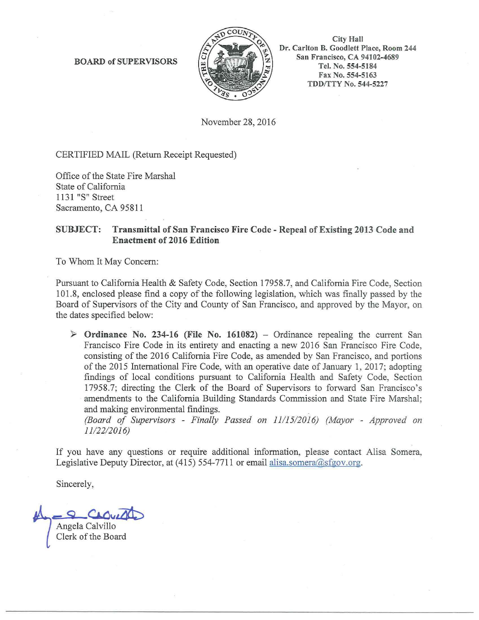BOARD of SUPERVISORS



City Hall Dr. Carlton B. Goodlett Place, Room 244 San Francisco, CA 94102-4689 Tel. No. 554-5184 Fax No. 554-5163 TDD/TTY No. 544-5227

November 28, 2016

CERTIFIED MAIL (Return Receipt Requested)

Office of the State Fire Marshal State of California 1131 "S" Street Sacramento, CA 95811

## SUBJECT: Transmittal of San Francisco Fire Code - Repeal of Existing 2013 Code and Enactment of 2016 Edition

To Whom It May Concern:

Pursuant to California Health & Safety Code, Section 17958.7, and California Fire Code, Section 101.8, enclosed please find a copy of the following legislation, which was finally passed by the Board of Supervisors of the City and County of San Francisco, and approved by the Mayor, on the dates specified below:

 $\triangleright$  Ordinance No. 234-16 (File No. 161082) – Ordinance repealing the current San Francisco Fire Code in its entirety and enacting a new 2016 San Francisco Fire Code, consisting of the 2016 California Fire Code, as amended by San Francisco, and portions of the 2015 International Fire Code, with an operative date of January 1, 2017; adopting findings of local conditions pursuant to California Health and Safety Code, Section 17958.7; directing the Clerk of the Board of Supervisors to forward San Francisco's amendments to the California Building Standards Commission and State Fire Marshal; and making environmental findings.

*(Board of Supervisors* - *Finally Passed on 1111512016) (Mayor* - *Approved on 1112212016)* 

If you have any questions or require additional information, please contact Alisa Somera, Legislative Deputy Director, at  $(415)$  554-7711 or email alisa.somera@sfgov.org.

Sincerely,

 $\overline{\mathcal{L}(\mathcal{L})}$  Angela Calvillo Clerk of the Board